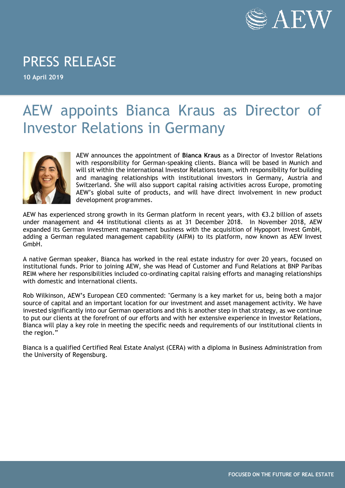

## PRESS RELEASE

**10 April 2019**

## AEW appoints Bianca Kraus as Director of Investor Relations in Germany



AEW announces the appointment of **Bianca Kraus** as a Director of Investor Relations with responsibility for German-speaking clients. Bianca will be based in Munich and will sit within the international Investor Relations team, with responsibility for building and managing relationships with institutional investors in Germany, Austria and Switzerland. She will also support capital raising activities across Europe, promoting AEW's global suite of products, and will have direct involvement in new product development programmes.

AEW has experienced strong growth in its German platform in recent years, with €3.2 billion of assets under management and 44 institutional clients as at 31 December 2018. In November 2018, AEW expanded its German investment management business with the acquisition of Hypoport Invest GmbH, adding a German regulated management capability (AIFM) to its platform, now known as AEW Invest GmbH.

A native German speaker, Bianca has worked in the real estate industry for over 20 years, focused on institutional funds. Prior to joining AEW, she was Head of Customer and Fund Relations at BNP Paribas REIM where her responsibilities included co-ordinating capital raising efforts and managing relationships with domestic and international clients.

Rob Wilkinson, AEW's European CEO commented: "Germany is a key market for us, being both a major source of capital and an important location for our investment and asset management activity. We have invested significantly into our German operations and this is another step in that strategy, as we continue to put our clients at the forefront of our efforts and with her extensive experience in Investor Relations, Bianca will play a key role in meeting the specific needs and requirements of our institutional clients in the region."

Bianca is a qualified Certified Real Estate Analyst (CERA) with a diploma in Business Administration from the University of Regensburg.